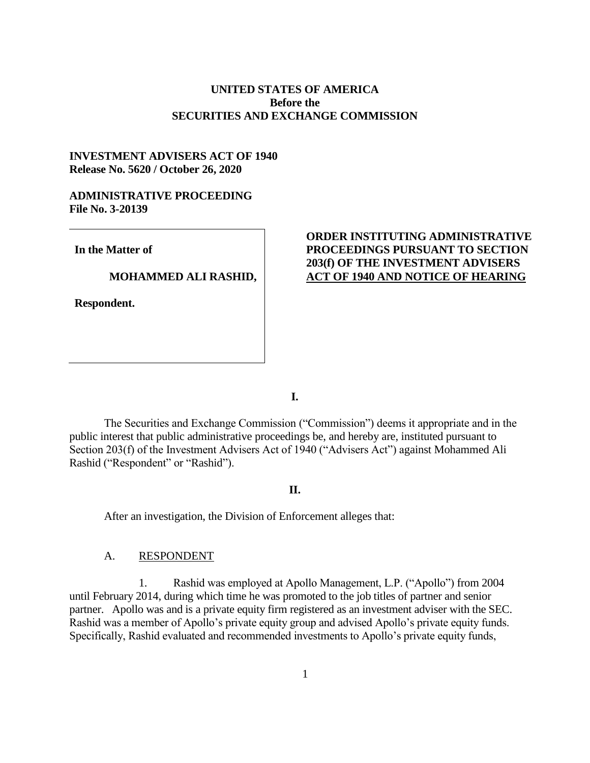## **UNITED STATES OF AMERICA Before the SECURITIES AND EXCHANGE COMMISSION**

# **INVESTMENT ADVISERS ACT OF 1940 Release No. 5620 / October 26, 2020**

### **ADMINISTRATIVE PROCEEDING File No. 3-20139**

**In the Matter of**

### **MOHAMMED ALI RASHID,**

**Respondent.**

# **ORDER INSTITUTING ADMINISTRATIVE PROCEEDINGS PURSUANT TO SECTION 203(f) OF THE INVESTMENT ADVISERS ACT OF 1940 AND NOTICE OF HEARING**

**I.**

The Securities and Exchange Commission ("Commission") deems it appropriate and in the public interest that public administrative proceedings be, and hereby are, instituted pursuant to Section 203(f) of the Investment Advisers Act of 1940 ("Advisers Act") against Mohammed Ali Rashid ("Respondent" or "Rashid").

## **II.**

After an investigation, the Division of Enforcement alleges that:

#### A. RESPONDENT

1. Rashid was employed at Apollo Management, L.P. ("Apollo") from 2004 until February 2014, during which time he was promoted to the job titles of partner and senior partner. Apollo was and is a private equity firm registered as an investment adviser with the SEC. Rashid was a member of Apollo's private equity group and advised Apollo's private equity funds. Specifically, Rashid evaluated and recommended investments to Apollo's private equity funds,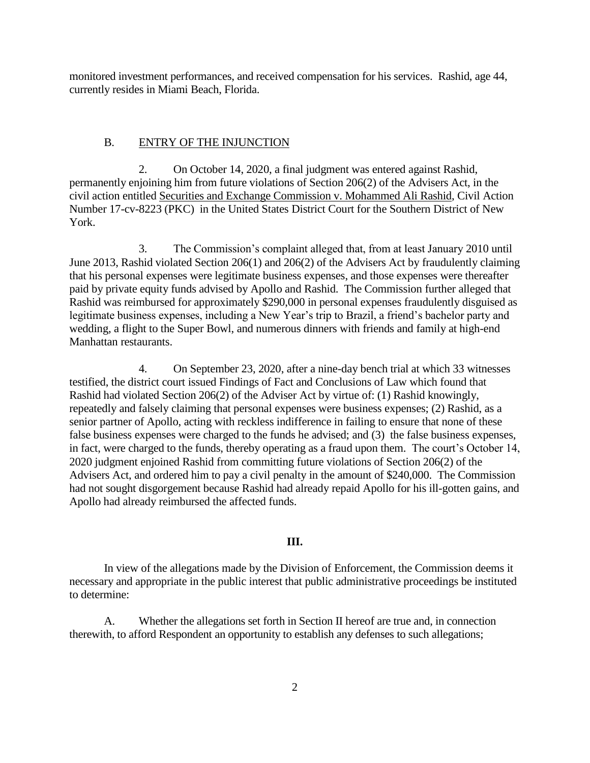monitored investment performances, and received compensation for his services. Rashid, age 44, currently resides in Miami Beach, Florida.

#### B. ENTRY OF THE INJUNCTION

2. On October 14, 2020, a final judgment was entered against Rashid, permanently enjoining him from future violations of Section 206(2) of the Advisers Act, in the civil action entitled Securities and Exchange Commission v. Mohammed Ali Rashid, Civil Action Number 17-cv-8223 (PKC) in the United States District Court for the Southern District of New York.

3. The Commission's complaint alleged that, from at least January 2010 until June 2013, Rashid violated Section 206(1) and 206(2) of the Advisers Act by fraudulently claiming that his personal expenses were legitimate business expenses, and those expenses were thereafter paid by private equity funds advised by Apollo and Rashid. The Commission further alleged that Rashid was reimbursed for approximately \$290,000 in personal expenses fraudulently disguised as legitimate business expenses, including a New Year's trip to Brazil, a friend's bachelor party and wedding, a flight to the Super Bowl, and numerous dinners with friends and family at high-end Manhattan restaurants.

4. On September 23, 2020, after a nine-day bench trial at which 33 witnesses testified, the district court issued Findings of Fact and Conclusions of Law which found that Rashid had violated Section 206(2) of the Adviser Act by virtue of: (1) Rashid knowingly, repeatedly and falsely claiming that personal expenses were business expenses; (2) Rashid, as a senior partner of Apollo, acting with reckless indifference in failing to ensure that none of these false business expenses were charged to the funds he advised; and (3) the false business expenses, in fact, were charged to the funds, thereby operating as a fraud upon them. The court's October 14, 2020 judgment enjoined Rashid from committing future violations of Section 206(2) of the Advisers Act, and ordered him to pay a civil penalty in the amount of \$240,000. The Commission had not sought disgorgement because Rashid had already repaid Apollo for his ill-gotten gains, and Apollo had already reimbursed the affected funds.

### **III.**

In view of the allegations made by the Division of Enforcement, the Commission deems it necessary and appropriate in the public interest that public administrative proceedings be instituted to determine:

A. Whether the allegations set forth in Section II hereof are true and, in connection therewith, to afford Respondent an opportunity to establish any defenses to such allegations;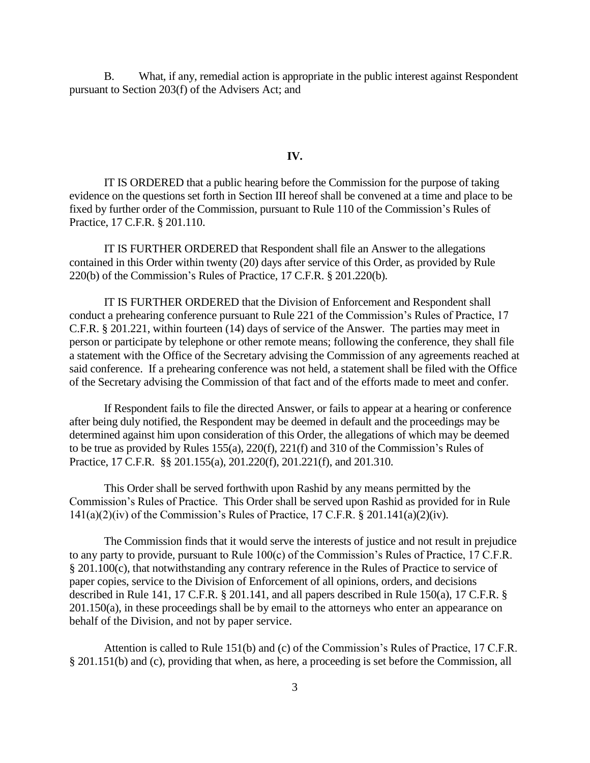B. What, if any, remedial action is appropriate in the public interest against Respondent pursuant to Section 203(f) of the Advisers Act; and

#### **IV.**

IT IS ORDERED that a public hearing before the Commission for the purpose of taking evidence on the questions set forth in Section III hereof shall be convened at a time and place to be fixed by further order of the Commission, pursuant to Rule 110 of the Commission's Rules of Practice, 17 C.F.R. § 201.110.

IT IS FURTHER ORDERED that Respondent shall file an Answer to the allegations contained in this Order within twenty (20) days after service of this Order, as provided by Rule 220(b) of the Commission's Rules of Practice, 17 C.F.R. § 201.220(b).

IT IS FURTHER ORDERED that the Division of Enforcement and Respondent shall conduct a prehearing conference pursuant to Rule 221 of the Commission's Rules of Practice, 17 C.F.R. § 201.221, within fourteen (14) days of service of the Answer. The parties may meet in person or participate by telephone or other remote means; following the conference, they shall file a statement with the Office of the Secretary advising the Commission of any agreements reached at said conference. If a prehearing conference was not held, a statement shall be filed with the Office of the Secretary advising the Commission of that fact and of the efforts made to meet and confer.

If Respondent fails to file the directed Answer, or fails to appear at a hearing or conference after being duly notified, the Respondent may be deemed in default and the proceedings may be determined against him upon consideration of this Order, the allegations of which may be deemed to be true as provided by Rules 155(a), 220(f), 221(f) and 310 of the Commission's Rules of Practice, 17 C.F.R. §§ 201.155(a), 201.220(f), 201.221(f), and 201.310.

This Order shall be served forthwith upon Rashid by any means permitted by the Commission's Rules of Practice. This Order shall be served upon Rashid as provided for in Rule 141(a)(2)(iv) of the Commission's Rules of Practice, 17 C.F.R. § 201.141(a)(2)(iv).

The Commission finds that it would serve the interests of justice and not result in prejudice to any party to provide, pursuant to Rule 100(c) of the Commission's Rules of Practice, 17 C.F.R. § 201.100(c), that notwithstanding any contrary reference in the Rules of Practice to service of paper copies, service to the Division of Enforcement of all opinions, orders, and decisions described in Rule 141, 17 C.F.R. § 201.141, and all papers described in Rule 150(a), 17 C.F.R. § 201.150(a), in these proceedings shall be by email to the attorneys who enter an appearance on behalf of the Division, and not by paper service.

Attention is called to Rule 151(b) and (c) of the Commission's Rules of Practice, 17 C.F.R. § 201.151(b) and (c), providing that when, as here, a proceeding is set before the Commission, all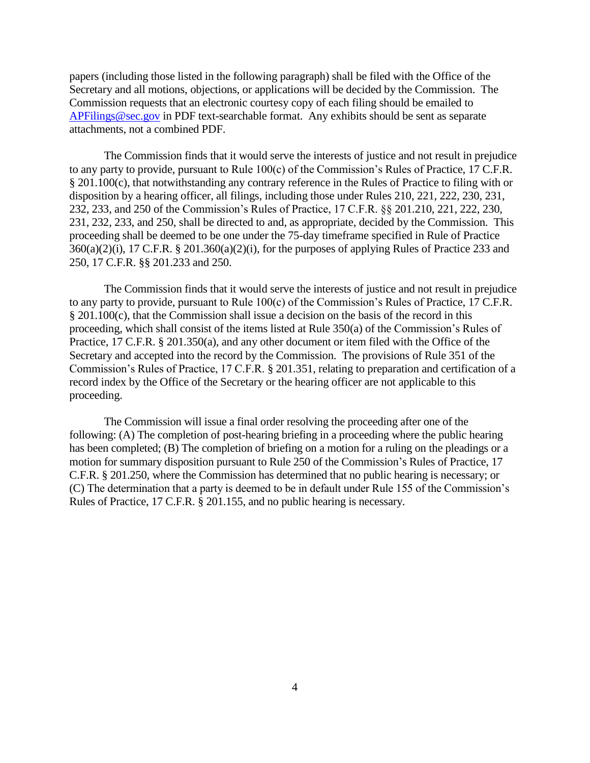papers (including those listed in the following paragraph) shall be filed with the Office of the Secretary and all motions, objections, or applications will be decided by the Commission. The Commission requests that an electronic courtesy copy of each filing should be emailed to [APFilings@sec.gov](mailto:APFilings@sec.gov) in PDF text-searchable format. Any exhibits should be sent as separate attachments, not a combined PDF.

The Commission finds that it would serve the interests of justice and not result in prejudice to any party to provide, pursuant to Rule 100(c) of the Commission's Rules of Practice, 17 C.F.R. § 201.100(c), that notwithstanding any contrary reference in the Rules of Practice to filing with or disposition by a hearing officer, all filings, including those under Rules 210, 221, 222, 230, 231, 232, 233, and 250 of the Commission's Rules of Practice, 17 C.F.R. §§ 201.210, 221, 222, 230, 231, 232, 233, and 250, shall be directed to and, as appropriate, decided by the Commission. This proceeding shall be deemed to be one under the 75-day timeframe specified in Rule of Practice  $360(a)(2)(i)$ , 17 C.F.R. § 201.360(a)(2)(i), for the purposes of applying Rules of Practice 233 and 250, 17 C.F.R. §§ 201.233 and 250.

The Commission finds that it would serve the interests of justice and not result in prejudice to any party to provide, pursuant to Rule 100(c) of the Commission's Rules of Practice, 17 C.F.R. § 201.100(c), that the Commission shall issue a decision on the basis of the record in this proceeding, which shall consist of the items listed at Rule 350(a) of the Commission's Rules of Practice, 17 C.F.R. § 201.350(a), and any other document or item filed with the Office of the Secretary and accepted into the record by the Commission. The provisions of Rule 351 of the Commission's Rules of Practice, 17 C.F.R. § 201.351, relating to preparation and certification of a record index by the Office of the Secretary or the hearing officer are not applicable to this proceeding.

The Commission will issue a final order resolving the proceeding after one of the following: (A) The completion of post-hearing briefing in a proceeding where the public hearing has been completed; (B) The completion of briefing on a motion for a ruling on the pleadings or a motion for summary disposition pursuant to Rule 250 of the Commission's Rules of Practice, 17 C.F.R. § 201.250, where the Commission has determined that no public hearing is necessary; or (C) The determination that a party is deemed to be in default under Rule 155 of the Commission's Rules of Practice, 17 C.F.R. § 201.155, and no public hearing is necessary.